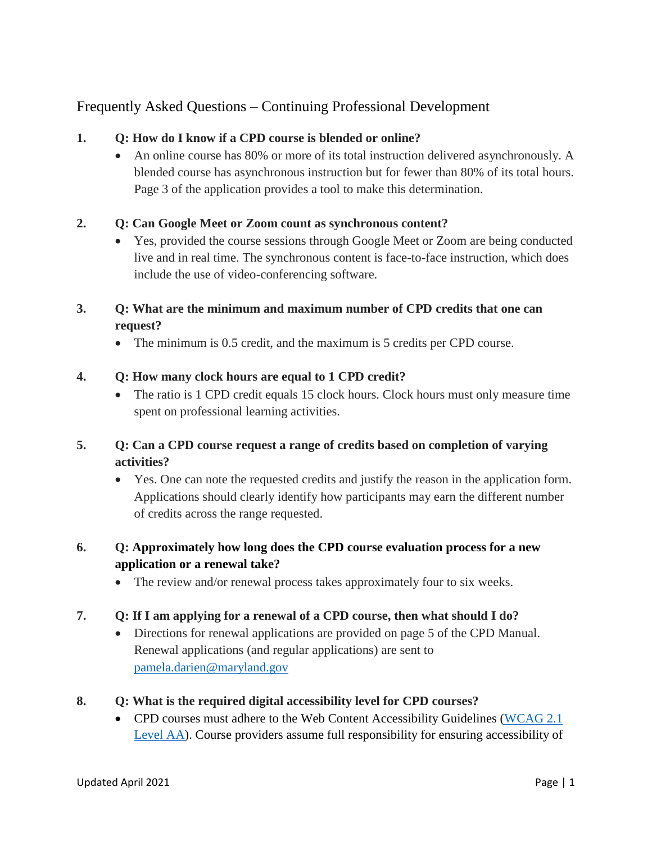# Frequently Asked Questions – Continuing Professional Development

### **1. Q: How do I know if a CPD course is blended or online?**

 An online course has 80% or more of its total instruction delivered asynchronously. A blended course has asynchronous instruction but for fewer than 80% of its total hours. Page 3 of the application provides a tool to make this determination.

### **2. Q: Can Google Meet or Zoom count as synchronous content?**

• Yes, provided the course sessions through Google Meet or Zoom are being conducted live and in real time. The synchronous content is face-to-face instruction, which does include the use of video-conferencing software.

## **3. Q: What are the minimum and maximum number of CPD credits that one can request?**

The minimum is 0.5 credit, and the maximum is 5 credits per CPD course.

#### **4. Q: How many clock hours are equal to 1 CPD credit?**

• The ratio is 1 CPD credit equals 15 clock hours. Clock hours must only measure time spent on professional learning activities.

## **5. Q: Can a CPD course request a range of credits based on completion of varying activities?**

 Yes. One can note the requested credits and justify the reason in the application form. Applications should clearly identify how participants may earn the different number of credits across the range requested.

## **6. Q: Approximately how long does the CPD course evaluation process for a new application or a renewal take?**

• The review and/or renewal process takes approximately four to six weeks.

#### **7. Q: If I am applying for a renewal of a CPD course, then what should I do?**

 Directions for renewal applications are provided on page 5 of the CPD Manual. Renewal applications (and regular applications) are sent to [pamela.darien@maryland.gov](mailto:pamela.darien@maryland.gov)

#### **8. Q: What is the required digital accessibility level for CPD courses?**

• CPD courses must adhere to the Web Content Accessibility Guidelines [\(WCAG 2.1](https://www.w3.org/TR/WCAG21/)) [Level AA\)](https://www.w3.org/TR/WCAG21/). Course providers assume full responsibility for ensuring accessibility of